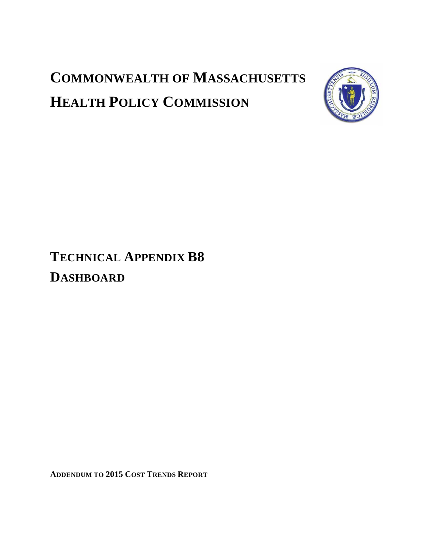# **COMMONWEALTH OF MASSACHUSETTS HEALTH POLICY COMMISSION**



## **TECHNICAL APPENDIX B8 DASHBOARD**

**ADDENDUM TO 2015 COST TRENDS REPORT**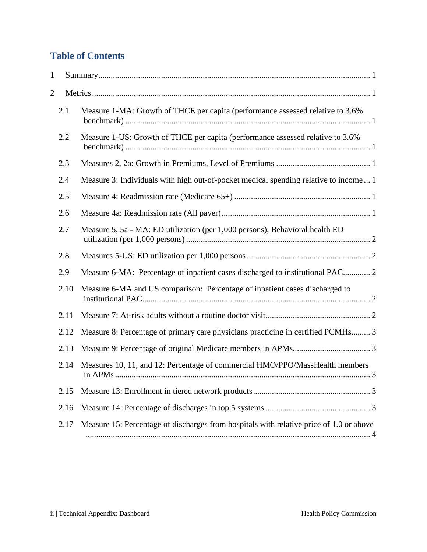### **Table of Contents**

| 1              |      |                                                                                         |   |
|----------------|------|-----------------------------------------------------------------------------------------|---|
| $\overline{2}$ |      |                                                                                         |   |
|                | 2.1  | Measure 1-MA: Growth of THCE per capita (performance assessed relative to 3.6%          |   |
|                | 2.2  | Measure 1-US: Growth of THCE per capita (performance assessed relative to 3.6%          |   |
|                | 2.3  |                                                                                         |   |
|                | 2.4  | Measure 3: Individuals with high out-of-pocket medical spending relative to income 1    |   |
|                | 2.5  |                                                                                         |   |
|                | 2.6  |                                                                                         |   |
|                | 2.7  | Measure 5, 5a - MA: ED utilization (per 1,000 persons), Behavioral health ED            |   |
|                | 2.8  |                                                                                         |   |
|                | 2.9  | Measure 6-MA: Percentage of inpatient cases discharged to institutional PAC 2           |   |
|                | 2.10 | Measure 6-MA and US comparison: Percentage of inpatient cases discharged to             |   |
|                | 2.11 |                                                                                         |   |
|                | 2.12 | Measure 8: Percentage of primary care physicians practicing in certified PCMHs 3        |   |
|                | 2.13 |                                                                                         |   |
|                | 2.14 | Measures 10, 11, and 12: Percentage of commercial HMO/PPO/MassHealth members            |   |
|                | 2.15 |                                                                                         |   |
|                | 2.16 |                                                                                         |   |
|                | 2.17 | Measure 15: Percentage of discharges from hospitals with relative price of 1.0 or above | 4 |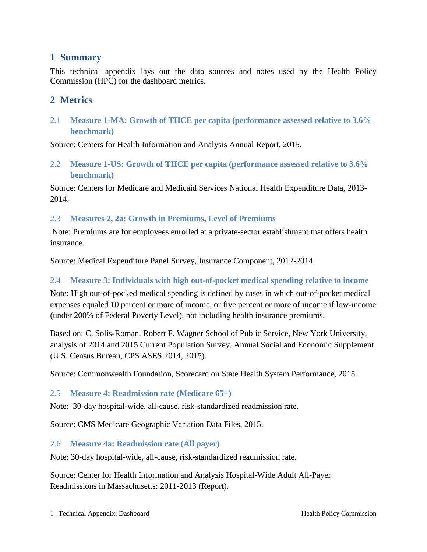#### <span id="page-2-0"></span>**1 Summary**

This technical appendix lays out the data sources and notes used by the Health Policy Commission (HPC) for the dashboard metrics.

#### <span id="page-2-1"></span>**2 Metrics**

<span id="page-2-2"></span>2.1 **Measure 1-MA: Growth of THCE per capita (performance assessed relative to 3.6% benchmark)**

Source: Centers for Health Information and Analysis Annual Report, 2015.

<span id="page-2-3"></span>2.2 **Measure 1-US: Growth of THCE per capita (performance assessed relative to 3.6% benchmark)**

Source: Centers for Medicare and Medicaid Services National Health Expenditure Data, 2013- 2014.

<span id="page-2-4"></span>2.3 **Measures 2, 2a: Growth in Premiums, Level of Premiums**

Note: Premiums are for employees enrolled at a private-sector establishment that offers health insurance.

Source: Medical Expenditure Panel Survey, Insurance Component, 2012-2014.

#### <span id="page-2-5"></span>2.4 **Measure 3: Individuals with high out-of-pocket medical spending relative to income**

Note: High out-of-pocked medical spending is defined by cases in which out-of-pocket medical expenses equaled 10 percent or more of income, or five percent or more of income if low-income (under 200% of Federal Poverty Level), not including health insurance premiums.

Based on: C. Solis-Roman, Robert F. Wagner School of Public Service, New York University, analysis of 2014 and 2015 Current Population Survey, Annual Social and Economic Supplement (U.S. Census Bureau, CPS ASES 2014, 2015).

Source: Commonwealth Foundation, Scorecard on State Health System Performance, 2015.

#### <span id="page-2-6"></span>2.5 **Measure 4: Readmission rate (Medicare 65+)**

Note: 30-day hospital-wide, all-cause, risk-standardized readmission rate.

Source: CMS Medicare Geographic Variation Data Files, 2015.

#### <span id="page-2-7"></span>2.6 **Measure 4a: Readmission rate (All payer)**

Note: 30-day hospital-wide, all-cause, risk-standardized readmission rate.

Source: Center for Health Information and Analysis Hospital-Wide Adult All-Payer Readmissions in Massachusetts: 2011-2013 (Report).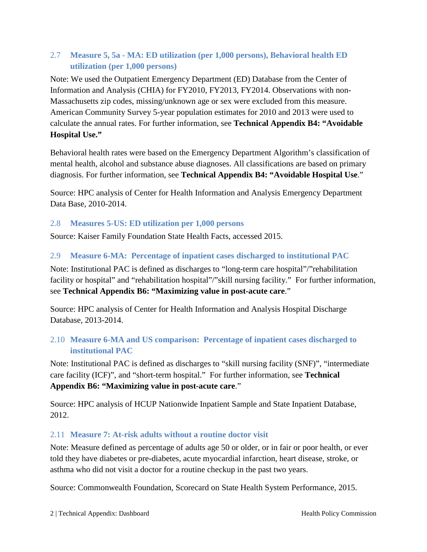#### <span id="page-3-0"></span>2.7 **Measure 5, 5a - MA: ED utilization (per 1,000 persons), Behavioral health ED utilization (per 1,000 persons)**

Note: We used the Outpatient Emergency Department (ED) Database from the Center of Information and Analysis (CHIA) for FY2010, FY2013, FY2014. Observations with non-Massachusetts zip codes, missing/unknown age or sex were excluded from this measure. American Community Survey 5-year population estimates for 2010 and 2013 were used to calculate the annual rates. For further information, see **Technical Appendix B4: "Avoidable Hospital Use."**

Behavioral health rates were based on the Emergency Department Algorithm's classification of mental health, alcohol and substance abuse diagnoses. All classifications are based on primary diagnosis. For further information, see **Technical Appendix B4: "Avoidable Hospital Use**."

Source: HPC analysis of Center for Health Information and Analysis Emergency Department Data Base, 2010-2014.

#### <span id="page-3-1"></span>2.8 **Measures 5-US: ED utilization per 1,000 persons**

Source: Kaiser Family Foundation State Health Facts, accessed 2015.

#### <span id="page-3-2"></span>2.9 **Measure 6-MA: Percentage of inpatient cases discharged to institutional PAC**

Note: Institutional PAC is defined as discharges to "long-term care hospital"/"rehabilitation facility or hospital" and "rehabilitation hospital"/"skill nursing facility." For further information, see **Technical Appendix B6: "Maximizing value in post-acute care**."

Source: HPC analysis of Center for Health Information and Analysis Hospital Discharge Database, 2013-2014.

#### <span id="page-3-3"></span>2.10 **Measure 6-MA and US comparison: Percentage of inpatient cases discharged to institutional PAC**

Note: Institutional PAC is defined as discharges to "skill nursing facility (SNF)", "intermediate care facility (ICF)", and "short-term hospital." For further information, see **Technical Appendix B6: "Maximizing value in post-acute care**."

Source: HPC analysis of HCUP Nationwide Inpatient Sample and State Inpatient Database, 2012.

#### <span id="page-3-4"></span>2.11 **Measure 7: At-risk adults without a routine doctor visit**

Note: Measure defined as percentage of adults age 50 or older, or in fair or poor health, or ever told they have diabetes or pre-diabetes, acute myocardial infarction, heart disease, stroke, or asthma who did not visit a doctor for a routine checkup in the past two years.

Source: Commonwealth Foundation, Scorecard on State Health System Performance, 2015.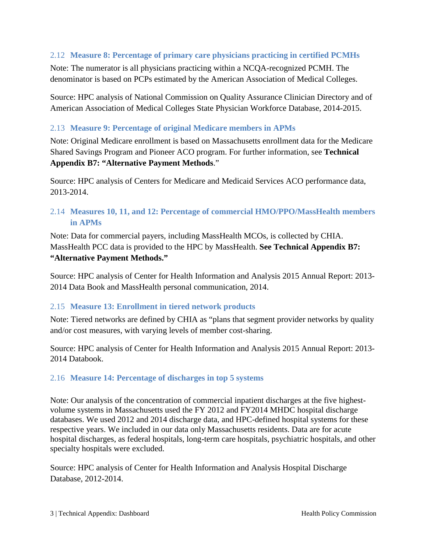#### <span id="page-4-0"></span>2.12 **Measure 8: Percentage of primary care physicians practicing in certified PCMHs**

Note: The numerator is all physicians practicing within a NCQA-recognized PCMH. The denominator is based on PCPs estimated by the American Association of Medical Colleges.

Source: HPC analysis of National Commission on Quality Assurance Clinician Directory and of American Association of Medical Colleges State Physician Workforce Database, 2014-2015.

#### <span id="page-4-1"></span>2.13 **Measure 9: Percentage of original Medicare members in APMs**

Note: Original Medicare enrollment is based on Massachusetts enrollment data for the Medicare Shared Savings Program and Pioneer ACO program. For further information, see **Technical Appendix B7: "Alternative Payment Methods**."

Source: HPC analysis of Centers for Medicare and Medicaid Services ACO performance data, 2013-2014.

#### <span id="page-4-2"></span>2.14 **Measures 10, 11, and 12: Percentage of commercial HMO/PPO/MassHealth members in APMs**

Note: Data for commercial payers, including MassHealth MCOs, is collected by CHIA. MassHealth PCC data is provided to the HPC by MassHealth. **See Technical Appendix B7: "Alternative Payment Methods."**

Source: HPC analysis of Center for Health Information and Analysis 2015 Annual Report: 2013- 2014 Data Book and MassHealth personal communication, 2014.

#### <span id="page-4-3"></span>2.15 **Measure 13: Enrollment in tiered network products**

Note: Tiered networks are defined by CHIA as "plans that segment provider networks by quality and/or cost measures, with varying levels of member cost-sharing.

Source: HPC analysis of Center for Health Information and Analysis 2015 Annual Report: 2013- 2014 Databook.

#### <span id="page-4-4"></span>2.16 **Measure 14: Percentage of discharges in top 5 systems**

Note: Our analysis of the concentration of commercial inpatient discharges at the five highestvolume systems in Massachusetts used the FY 2012 and FY2014 MHDC hospital discharge databases. We used 2012 and 2014 discharge data, and HPC-defined hospital systems for these respective years. We included in our data only Massachusetts residents. Data are for acute hospital discharges, as federal hospitals, long-term care hospitals, psychiatric hospitals, and other specialty hospitals were excluded.

Source: HPC analysis of Center for Health Information and Analysis Hospital Discharge Database, 2012-2014.